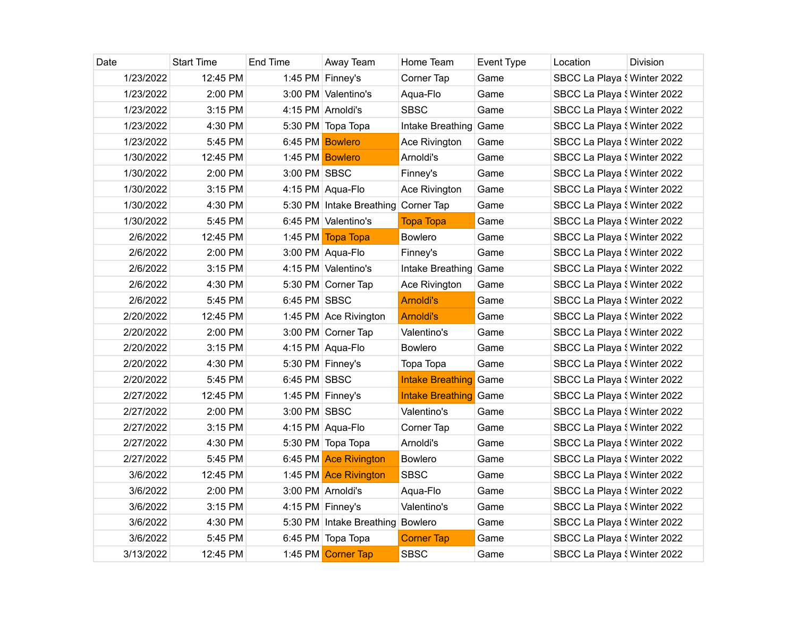| Date      | <b>Start Time</b> | End Time        | Away Team                           | Home Team                    | Event Type | Location                    | Division |
|-----------|-------------------|-----------------|-------------------------------------|------------------------------|------------|-----------------------------|----------|
| 1/23/2022 | 12:45 PM          |                 | 1:45 PM Finney's                    | Corner Tap                   | Game       | SBCC La Playa { Winter 2022 |          |
| 1/23/2022 | 2:00 PM           |                 | 3:00 PM Valentino's                 | Aqua-Flo                     | Game       | SBCC La Playa § Winter 2022 |          |
| 1/23/2022 | 3:15 PM           |                 | 4:15 PM Arnoldi's                   | <b>SBSC</b>                  | Game       | SBCC La Playa { Winter 2022 |          |
| 1/23/2022 | 4:30 PM           |                 | 5:30 PM Topa Topa                   | Intake Breathing Game        |            | SBCC La Playa { Winter 2022 |          |
| 1/23/2022 | 5:45 PM           | 6:45 PM Bowlero |                                     | Ace Rivington                | Game       | SBCC La Playa § Winter 2022 |          |
| 1/30/2022 | 12:45 PM          |                 | 1:45 PM Bowlero                     | Arnoldi's                    | Game       | SBCC La Playa § Winter 2022 |          |
| 1/30/2022 | 2:00 PM           | 3:00 PM SBSC    |                                     | Finney's                     | Game       | SBCC La Playa \ Winter 2022 |          |
| 1/30/2022 | 3:15 PM           |                 | 4:15 PM Aqua-Flo                    | Ace Rivington                | Game       | SBCC La Playa § Winter 2022 |          |
| 1/30/2022 | 4:30 PM           |                 | 5:30 PM Intake Breathing Corner Tap |                              | Game       | SBCC La Playa § Winter 2022 |          |
| 1/30/2022 | 5:45 PM           |                 | 6:45 PM Valentino's                 | <b>Topa Topa</b>             | Game       | SBCC La Playa \ Winter 2022 |          |
| 2/6/2022  | 12:45 PM          |                 | 1:45 PM Topa Topa                   | <b>Bowlero</b>               | Game       | SBCC La Playa { Winter 2022 |          |
| 2/6/2022  | $2:00$ PM         |                 | 3:00 PM Aqua-Flo                    | Finney's                     | Game       | SBCC La Playa § Winter 2022 |          |
| 2/6/2022  | 3:15 PM           |                 | 4:15 PM Valentino's                 | Intake Breathing Game        |            | SBCC La Playa § Winter 2022 |          |
| 2/6/2022  | 4:30 PM           |                 | 5:30 PM Corner Tap                  | Ace Rivington                | Game       | SBCC La Playa { Winter 2022 |          |
| 2/6/2022  | 5:45 PM           | 6:45 PM SBSC    |                                     | Arnoldi's                    | Game       | SBCC La Playa \ Winter 2022 |          |
| 2/20/2022 | 12:45 PM          |                 | 1:45 PM Ace Rivington               | <b>Arnoldi's</b>             | Game       | SBCC La Playa \ Winter 2022 |          |
| 2/20/2022 | 2:00 PM           |                 | 3:00 PM Corner Tap                  | Valentino's                  | Game       | SBCC La Playa \ Winter 2022 |          |
| 2/20/2022 | 3:15 PM           |                 | 4:15 PM Aqua-Flo                    | <b>Bowlero</b>               | Game       | SBCC La Playa § Winter 2022 |          |
| 2/20/2022 | 4:30 PM           |                 | 5:30 PM Finney's                    | Topa Topa                    | Game       | SBCC La Playa { Winter 2022 |          |
| 2/20/2022 | 5:45 PM           | 6:45 PM SBSC    |                                     | <b>Intake Breathing</b>      | Game       | SBCC La Playa { Winter 2022 |          |
| 2/27/2022 | 12:45 PM          |                 | 1:45 PM Finney's                    | <b>Intake Breathing</b> Game |            | SBCC La Playa { Winter 2022 |          |
| 2/27/2022 | 2:00 PM           | 3:00 PM SBSC    |                                     | Valentino's                  | Game       | SBCC La Playa § Winter 2022 |          |
| 2/27/2022 | 3:15 PM           |                 | 4:15 PM Aqua-Flo                    | Corner Tap                   | Game       | SBCC La Playa { Winter 2022 |          |
| 2/27/2022 | 4:30 PM           |                 | 5:30 PM Topa Topa                   | Arnoldi's                    | Game       | SBCC La Playa { Winter 2022 |          |
| 2/27/2022 | 5:45 PM           |                 | 6:45 PM Ace Rivington               | <b>Bowlero</b>               | Game       | SBCC La Playa § Winter 2022 |          |
| 3/6/2022  | 12:45 PM          |                 | 1:45 PM Ace Rivington               | <b>SBSC</b>                  | Game       | SBCC La Playa { Winter 2022 |          |
| 3/6/2022  | 2:00 PM           |                 | 3:00 PM Arnoldi's                   | Aqua-Flo                     | Game       | SBCC La Playa { Winter 2022 |          |
| 3/6/2022  | 3:15 PM           |                 | 4:15 PM Finney's                    | Valentino's                  | Game       | SBCC La Playa § Winter 2022 |          |
| 3/6/2022  | 4:30 PM           |                 | 5:30 PM Intake Breathing Bowlero    |                              | Game       | SBCC La Playa { Winter 2022 |          |
| 3/6/2022  | 5:45 PM           |                 | 6:45 PM Topa Topa                   | <b>Corner Tap</b>            | Game       | SBCC La Playa { Winter 2022 |          |
| 3/13/2022 | 12:45 PM          |                 | 1:45 PM Corner Tap                  | <b>SBSC</b>                  | Game       | SBCC La Playa { Winter 2022 |          |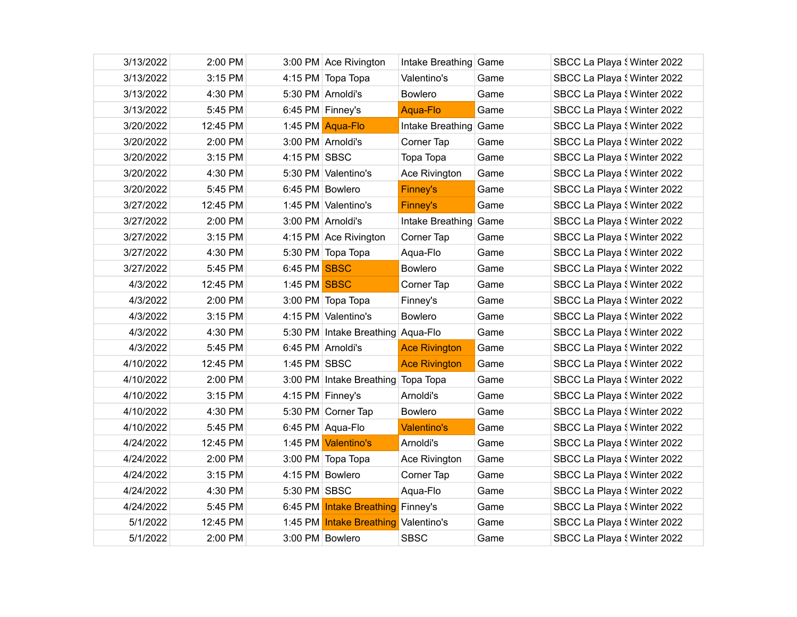| 3/13/2022 | 2:00 PM  |                  | 3:00 PM Ace Rivington              | Intake Breathing Game |      | SBCC La Playa (Winter 2022  |  |
|-----------|----------|------------------|------------------------------------|-----------------------|------|-----------------------------|--|
| 3/13/2022 | 3:15 PM  |                  | 4:15 PM Topa Topa                  | Valentino's           | Game | SBCC La Playa { Winter 2022 |  |
| 3/13/2022 | 4:30 PM  |                  | 5:30 PM Arnoldi's                  | <b>Bowlero</b>        | Game | SBCC La Playa { Winter 2022 |  |
| 3/13/2022 | 5:45 PM  | 6:45 PM Finney's |                                    | Aqua-Flo              | Game | SBCC La Playa { Winter 2022 |  |
| 3/20/2022 | 12:45 PM |                  | 1:45 PM Aqua-Flo                   | Intake Breathing Game |      | SBCC La Playa { Winter 2022 |  |
| 3/20/2022 | 2:00 PM  |                  | 3:00 PM Arnoldi's                  | Corner Tap            | Game | SBCC La Playa { Winter 2022 |  |
| 3/20/2022 | 3:15 PM  | 4:15 PM SBSC     |                                    | Topa Topa             | Game | SBCC La Playa { Winter 2022 |  |
| 3/20/2022 | 4:30 PM  |                  | 5:30 PM Valentino's                | Ace Rivington         | Game | SBCC La Playa { Winter 2022 |  |
| 3/20/2022 | 5:45 PM  | 6:45 PM Bowlero  |                                    | <b>Finney's</b>       | Game | SBCC La Playa { Winter 2022 |  |
| 3/27/2022 | 12:45 PM |                  | 1:45 PM Valentino's                | <b>Finney's</b>       | Game | SBCC La Playa { Winter 2022 |  |
| 3/27/2022 | 2:00 PM  |                  | 3:00 PM Arnoldi's                  | Intake Breathing Game |      | SBCC La Playa { Winter 2022 |  |
| 3/27/2022 | 3:15 PM  |                  | 4:15 PM Ace Rivington              | Corner Tap            | Game | SBCC La Playa { Winter 2022 |  |
| 3/27/2022 | 4:30 PM  |                  | 5:30 PM Topa Topa                  | Aqua-Flo              | Game | SBCC La Playa { Winter 2022 |  |
| 3/27/2022 | 5:45 PM  | 6:45 PM SBSC     |                                    | <b>Bowlero</b>        | Game | SBCC La Playa { Winter 2022 |  |
| 4/3/2022  | 12:45 PM | 1:45 PM SBSC     |                                    | Corner Tap            | Game | SBCC La Playa { Winter 2022 |  |
| 4/3/2022  | 2:00 PM  |                  | 3:00 PM Topa Topa                  | Finney's              | Game | SBCC La Playa { Winter 2022 |  |
| 4/3/2022  | 3:15 PM  |                  | 4:15 PM Valentino's                | <b>Bowlero</b>        | Game | SBCC La Playa { Winter 2022 |  |
| 4/3/2022  | 4:30 PM  |                  | 5:30 PM Intake Breathing Aqua-Flo  |                       | Game | SBCC La Playa { Winter 2022 |  |
| 4/3/2022  | 5:45 PM  |                  | 6:45 PM Arnoldi's                  | <b>Ace Rivington</b>  | Game | SBCC La Playa { Winter 2022 |  |
| 4/10/2022 | 12:45 PM | 1:45 PM SBSC     |                                    | <b>Ace Rivington</b>  | Game | SBCC La Playa { Winter 2022 |  |
| 4/10/2022 | 2:00 PM  |                  | 3:00 PM Intake Breathing Topa Topa |                       | Game | SBCC La Playa { Winter 2022 |  |
| 4/10/2022 | 3:15 PM  | 4:15 PM Finney's |                                    | Arnoldi's             | Game | SBCC La Playa { Winter 2022 |  |
| 4/10/2022 | 4:30 PM  |                  | 5:30 PM Corner Tap                 | <b>Bowlero</b>        | Game | SBCC La Playa { Winter 2022 |  |
| 4/10/2022 | 5:45 PM  |                  | 6:45 PM Aqua-Flo                   | <b>Valentino's</b>    | Game | SBCC La Playa { Winter 2022 |  |
| 4/24/2022 | 12:45 PM |                  | 1:45 PM Valentino's                | Arnoldi's             | Game | SBCC La Playa { Winter 2022 |  |
| 4/24/2022 | 2:00 PM  |                  | 3:00 PM Topa Topa                  | Ace Rivington         | Game | SBCC La Playa { Winter 2022 |  |
| 4/24/2022 | 3:15 PM  | 4:15 PM Bowlero  |                                    | Corner Tap            | Game | SBCC La Playa { Winter 2022 |  |
| 4/24/2022 | 4:30 PM  | 5:30 PM SBSC     |                                    | Agua-Flo              | Game | SBCC La Playa { Winter 2022 |  |
| 4/24/2022 | 5:45 PM  |                  | 6:45 PM Intake Breathing Finney's  |                       | Game | SBCC La Playa { Winter 2022 |  |
| 5/1/2022  | 12:45 PM | 1:45 PM          | Intake Breathing Valentino's       |                       | Game | SBCC La Playa { Winter 2022 |  |
| 5/1/2022  | 2:00 PM  | 3:00 PM Bowlero  |                                    | <b>SBSC</b>           | Game | SBCC La Playa \ Winter 2022 |  |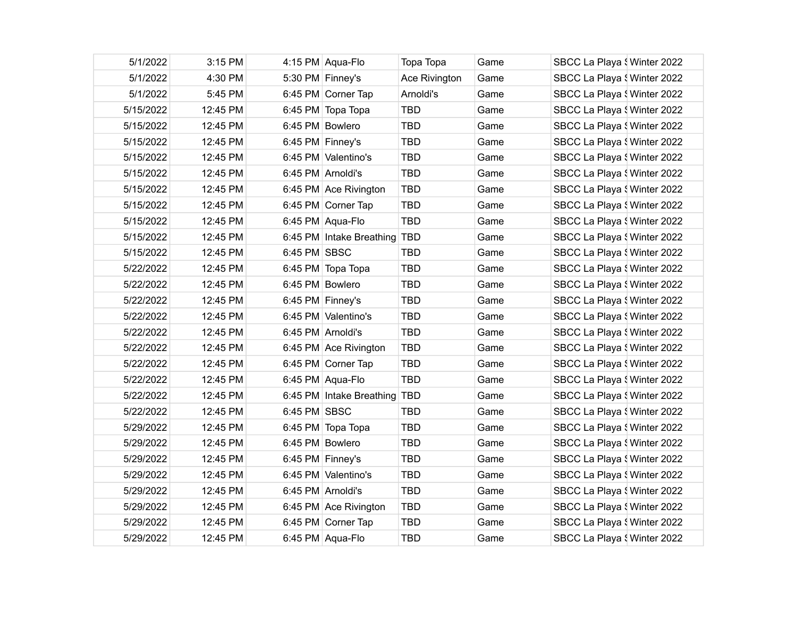| 5/1/2022  | 3:15 PM  |                  | 4:15 PM Aqua-Flo             | Topa Topa     | Game | SBCC La Playa { Winter 2022 |
|-----------|----------|------------------|------------------------------|---------------|------|-----------------------------|
| 5/1/2022  | 4:30 PM  |                  | 5:30 PM Finney's             | Ace Rivington | Game | SBCC La Playa { Winter 2022 |
| 5/1/2022  | 5:45 PM  |                  | 6:45 PM Corner Tap           | Arnoldi's     | Game | SBCC La Playa { Winter 2022 |
| 5/15/2022 | 12:45 PM |                  | 6:45 PM Topa Topa            | <b>TBD</b>    | Game | SBCC La Playa { Winter 2022 |
| 5/15/2022 | 12:45 PM | 6:45 PM Bowlero  |                              | <b>TBD</b>    | Game | SBCC La Playa { Winter 2022 |
| 5/15/2022 | 12:45 PM |                  | 6:45 PM Finney's             | <b>TBD</b>    | Game | SBCC La Playa { Winter 2022 |
| 5/15/2022 | 12:45 PM |                  | 6:45 PM Valentino's          | <b>TBD</b>    | Game | SBCC La Playa { Winter 2022 |
| 5/15/2022 | 12:45 PM |                  | 6:45 PM Arnoldi's            | <b>TBD</b>    | Game | SBCC La Playa { Winter 2022 |
| 5/15/2022 | 12:45 PM |                  | 6:45 PM Ace Rivington        | <b>TBD</b>    | Game | SBCC La Playa { Winter 2022 |
| 5/15/2022 | 12:45 PM |                  | 6:45 PM Corner Tap           | <b>TBD</b>    | Game | SBCC La Playa { Winter 2022 |
| 5/15/2022 | 12:45 PM |                  | 6:45 PM Aqua-Flo             | <b>TBD</b>    | Game | SBCC La Playa { Winter 2022 |
| 5/15/2022 | 12:45 PM |                  | 6:45 PM Intake Breathing TBD |               | Game | SBCC La Playa { Winter 2022 |
| 5/15/2022 | 12:45 PM | 6:45 PM SBSC     |                              | <b>TBD</b>    | Game | SBCC La Playa { Winter 2022 |
| 5/22/2022 | 12:45 PM |                  | 6:45 PM Topa Topa            | <b>TBD</b>    | Game | SBCC La Playa { Winter 2022 |
| 5/22/2022 | 12:45 PM | 6:45 PM Bowlero  |                              | <b>TBD</b>    | Game | SBCC La Playa { Winter 2022 |
| 5/22/2022 | 12:45 PM | 6:45 PM Finney's |                              | <b>TBD</b>    | Game | SBCC La Playa { Winter 2022 |
| 5/22/2022 | 12:45 PM |                  | 6:45 PM Valentino's          | <b>TBD</b>    | Game | SBCC La Playa { Winter 2022 |
| 5/22/2022 | 12:45 PM |                  | 6:45 PM Arnoldi's            | <b>TBD</b>    | Game | SBCC La Playa { Winter 2022 |
| 5/22/2022 | 12:45 PM |                  | 6:45 PM Ace Rivington        | <b>TBD</b>    | Game | SBCC La Playa { Winter 2022 |
| 5/22/2022 | 12:45 PM |                  | 6:45 PM Corner Tap           | <b>TBD</b>    | Game | SBCC La Playa { Winter 2022 |
| 5/22/2022 | 12:45 PM |                  | 6:45 PM Aqua-Flo             | <b>TBD</b>    | Game | SBCC La Playa { Winter 2022 |
| 5/22/2022 | 12:45 PM |                  | 6:45 PM Intake Breathing TBD |               | Game | SBCC La Playa { Winter 2022 |
| 5/22/2022 | 12:45 PM | 6:45 PM SBSC     |                              | <b>TBD</b>    | Game | SBCC La Playa { Winter 2022 |
| 5/29/2022 | 12:45 PM |                  | 6:45 PM Topa Topa            | <b>TBD</b>    | Game | SBCC La Playa { Winter 2022 |
| 5/29/2022 | 12:45 PM | 6:45 PM Bowlero  |                              | <b>TBD</b>    | Game | SBCC La Playa { Winter 2022 |
| 5/29/2022 | 12:45 PM | 6:45 PM Finney's |                              | <b>TBD</b>    | Game | SBCC La Playa { Winter 2022 |
| 5/29/2022 | 12:45 PM |                  | 6:45 PM Valentino's          | <b>TBD</b>    | Game | SBCC La Playa { Winter 2022 |
| 5/29/2022 | 12:45 PM |                  | 6:45 PM Arnoldi's            | <b>TBD</b>    | Game | SBCC La Playa { Winter 2022 |
| 5/29/2022 | 12:45 PM |                  | 6:45 PM Ace Rivington        | <b>TBD</b>    | Game | SBCC La Playa { Winter 2022 |
| 5/29/2022 | 12:45 PM |                  | 6:45 PM Corner Tap           | <b>TBD</b>    | Game | SBCC La Playa { Winter 2022 |
| 5/29/2022 | 12:45 PM |                  | 6:45 PM Aqua-Flo             | <b>TBD</b>    | Game | SBCC La Playa { Winter 2022 |